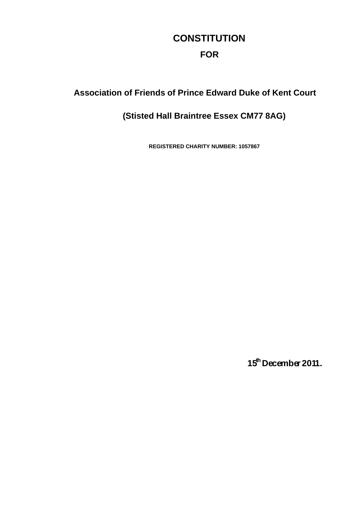# **CONSTITUTION FOR**

### **Association of Friends of Prince Edward Duke of Kent Court**

## **(Stisted Hall Braintree Essex CM77 8AG)**

**REGISTERED CHARITY NUMBER: 1057867**

**15thDecember 2011.**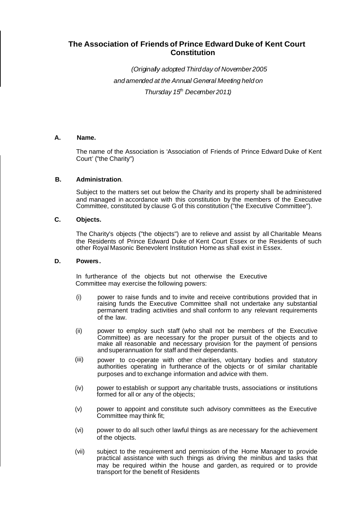### **The Association of Friends of Prince Edward Duke of Kent Court Constitution**

*(Originally adopted Thirdday of November2005 and amended at the Annual General Meeting held on Thursday 15th December2011)*

#### **A. Name.**

The name of the Association is 'Association of Friends of Prince Edward Duke of Kent Court' ("the Charity")

#### **B. Administration**.

Subject to the matters set out below the Charity and its property shall be administered and managed in accordance with this constitution by the members of the Executive Committee, constituted by clause G of this constitution ("the Executive Committee").

#### **C. Objects.**

The Charity's objects ("the objects") are to relieve and assist by all Charitable Means the Residents of Prince Edward Duke of Kent Court Essex or the Residents of such other Royal Masonic Benevolent Institution Home as shall exist in Essex.

#### **D. Powers.**

In furtherance of the objects but not otherwise the Executive Committee may exercise the following powers:

- (i) power to raise funds and to invite and receive contributions provided that in raising funds the Executive Committee shall not undertake any substantial permanent trading activities and shall conform to any relevant requirements of the law.
- (ii) power to employ such staff (who shall not be members of the Executive Committee) as are necessary for the proper pursuit of the objects and to make all reasonable and necessary provision for the payment of pensions andsuperannuation for staff and their dependants.
- (iii) power to co-operate with other charities, voluntary bodies and statutory authorities operating in furtherance of the objects or of similar charitable purposes and to exchange information and advice with them.
- (iv) power to establish or support any charitable trusts, associations or institutions formed for all or any of the objects;
- (v) power to appoint and constitute such advisory committees as the Executive Committee may think fit;
- (vi) power to do all such other lawful things as are necessary for the achievement of the objects.
- (vii) subject to the requirement and permission of the Home Manager to provide practical assistance with such things as driving the minibus and tasks that may be required within the house and garden, as required or to provide transport for the benefit of Residents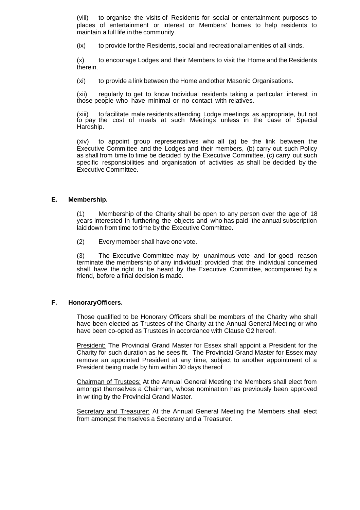(viii) to organise the visits of Residents for social or entertainment purposes to places of entertainment or interest or Members' homes to help residents to maintain a full life in the community.

(ix) to provide forthe Residents, social and recreational amenities of all kinds.

(x) to encourage Lodges and their Members to visit the Home and the Residents therein.

(xi) to provide a link between the Home andother Masonic Organisations.

(xii) regularly to get to know Individual residents taking a particular interest in those people who have minimal or no contact with relatives.

(xiii) to facilitate male residents attending Lodge meetings, as appropriate, but not to pay the cost of meals at such Meetings unless in the case of Special Hardship.

(xiv) to appoint group representatives who all (a) be the link between the Executive Committee and the Lodges and their members, (b) carry out such Policy as shall from time to time be decided by the Executive Committee, (c) carry out such specific responsibilities and organisation of activities as shall be decided by the Executive Committee.

#### **E. Membership.**

(1) Membership of the Charity shall be open to any person over the age of 18 years interested In furthering the objects and who has paid the annual subscription laid down from time to time by the Executive Committee.

(2) Every member shall have one vote.

(3) The Executive Committee may by unanimous vote and for good reason terminate the membership of any individual: provided that the individual concerned shall have the right to be heard by the Executive Committee, accompanied by a friend, before a final decision is made.

#### **F. HonoraryOfficers.**

Those qualified to be Honorary Officers shall be members of the Charity who shall have been elected as Trustees of the Charity at the Annual General Meeting or who have been co-opted as Trustees in accordance with Clause G2 hereof.

President: The Provincial Grand Master for Essex shall appoint a President for the Charity for such duration as he sees fit. The Provincial Grand Master for Essex may remove an appointed President at any time, subject to another appointment of a President being made by him within 30 days thereof

Chairman of Trustees: At the Annual General Meeting the Members shall elect from amongst themselves a Chairman, whose nomination has previously been approved in writing by the Provincial Grand Master.

Secretary and Treasurer: At the Annual General Meeting the Members shall elect from amongst themselves a Secretary and a Treasurer.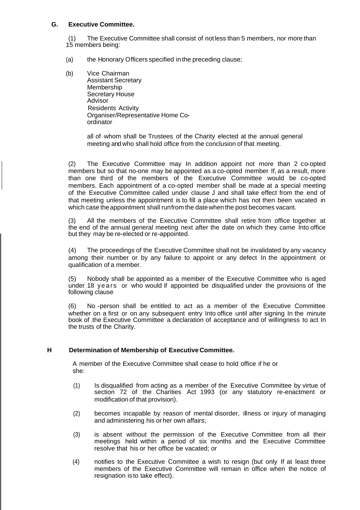#### **G. Executive Committee.**

(1) The Executive Committee shall consist of notless than 5 members, nor more than 15 members being:

- (a) the Honorary Officers specified in the preceding clause;
- (b) Vice Chairman Assistant Secretary Membership Secretary House Advisor Residents Activity Organiser/Representative Home Coordinator

all of whom shall be Trustees of the Charity elected at the annual general meeting and who shall hold office from the conclusion of that meeting.

(2) The Executive Committee may In addition appoint not more than 2 co-opted members but so that no-one may be appointed as a co-opted member If, as a result, more than one third of the members of the Executive Committee would be co-opted members. Each appointment of a co-opted member shall be made at a special meeting of the Executive Committee called under clause J and shall take effect from the end of that meeting unless the appointment is to fill a place which has not then been vacated in which case the appointment shall runfrom the date when the post becomes vacant.

(3) All the members of the Executive Committee shall retire from office together at the end of the annual general meeting next after the date on which they came Into office but they may be re-elected or re-appointed.

(4) The proceedings of the Executive Committee shall not be invalidated by any vacancy among their number or by any failure to appoint or any defect In the appointment or qualification of a member.

(5) Nobody shall be appointed as a member of the Executive Committee who is aged under 18 years or who would if appointed be disqualified under the provisions of the following clause

(6) No -person shall be entitled to act as a member of the Executive Committee whether on a first or on any subsequent entry Into office until after signing In the minute book of .the Executive Committee a declaration of acceptance and of willingness to act In the trusts of the Charity.

#### **H Determination of Membership of Executive Committee.**

A member of the Executive Committee shall cease to hold office if he or she:

- (1) Is disqualified from acting as a member of the Executive Committee by virtue of section 72 of the Charities Act 1993 (or any statutory re-enactment or modification of that provision).
- (2) becomes incapable by reason of mental disorder, illness or injury of managing and administering his or her own affairs;
- (3) is absent without the permission of the Executive Committee from all their meetings held within a period of six months and the Executive Committee resolve that his or her office be vacated; or
- (4) notifies to the Executive Committee a wish to resign (but only If at least three members of the Executive Committee will remain in office when the notice of resignation is to take effect).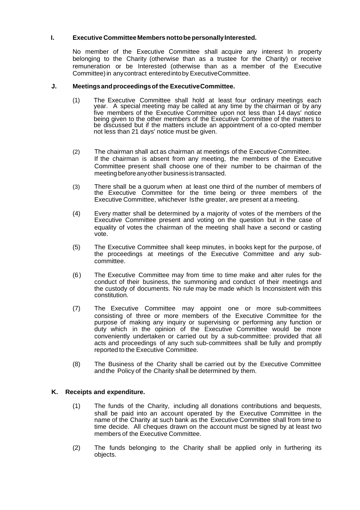#### **I. Executive Committee Members nottobe personallyInterested.**

No member of the Executive Committee shall acquire any interest In property belonging to the Charity (otherwise than as a trustee for the Charity) or receive remuneration or be Interested (otherwise than as a member of the Executive Committee)in anycontract enteredintoby ExecutiveCommittee.

#### **J. Meetingsandproceedingsof the ExecutiveCommittee.**

- (1) The Executive Committee shall hold at least four ordinary meetings each year. A special meeting may be called at any time by the chairman or by any five members of the Executive Committee upon not less than 14 days' notice being given to the other members of the Executive Committee of the matters to be discussed but if the matters include an appointment of a co-opted member not less than 21 days' notice must be given.
- (2) The chairman shall act as chairman at meetings of the Executive Committee. If the chairman is absent from any meeting, the members of the Executive Committee present shall choose one of their number to be chairman of the meeting beforeanyother business is transacted.
- (3) There shall be a quorum when at least one third of the number of members of the Executive Committee for the time being or three members of the Executive Committee, whichever Isthe greater, are present at a meeting.
- (4) Every matter shall be determined by a majority of votes of the members of the Executive Committee present and voting on the question but in the case of equality of votes the chairman of the meeting shall have a second or casting vote.
- (5) The Executive Committee shall keep minutes, in books kept for the purpose, of the proceedings at meetings of the Executive Committee and any subcommittee.
- (6) The Executive Committee may from time to time make and alter rules for the conduct of their business, the summoning and conduct of their meetings and the custody of documents. No rule may be made which Is Inconsistent with this constitution.
- (7) The Executive Committee may appoint one or more sub-committees consisting of three or more members of the Executive Committee for the purpose of making any inquiry or supervising or performing any function or duty which in the opinion of the Executive Committee would be more conveniently undertaken or carried out by a sub-committee: provided that all acts and proceedings of any such sub-committees shall be fully and promptly reported to the Executive Committee.
- (8) The Business of the Charity shall be carried out by the Executive Committee andthe Policy of the Charity shall be determined by them.

#### **K. Receipts and expenditure.**

- (1) The funds of the Charity, including all donations contributions and bequests, shall be paid into an account operated by the Executive Committee in the name of the Charity at such bank as the Executive Committee shall from time to time decide. All cheques drawn on the account must be signed by at least two members of the Executive Committee.
- (2) The funds belonging to the Charity shall be applied only in furthering its objects.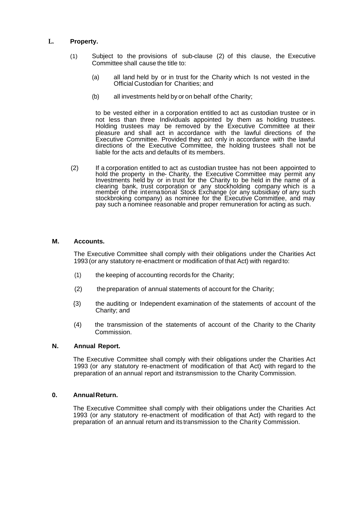#### **L. Property.**

- (1) Subject to the provisions of sub-clause (2) of this clause, the Executive Committee shall cause the title to:
	- (a) all land held by or in trust for the Charity which Is not vested in the Official Custodian for Charities; and
	- (b) all investments held by or on behalf ofthe Charity;

to be vested either in a corporation entitled to act as custodian trustee or in not less than three Individuals appointed by them as holding trustees. Holding trustees may be removed by the Executive Committee at their pleasure and shall act in accordance with the lawful directions of the Executive Committee. Provided they act only in accordance with the lawful directions of the Executive Committee, the holding trustees shall not be liable for the acts and defaults of its members.

(2) If a corporation entitled to act as custodian trustee has not been appointed to hold the property in the- Charity, the Executive Committee may permit any Investments held by or in trust for the Charity to be held in the name of a clearing bank, trust corporation or any stockholding company which is a member of the international Stock Exchange (or any subsidiary of any such stockbroking company) as nominee for the Executive Committee, and may pay such a nominee reasonable and proper remuneration for acting as such.

#### **M. Accounts.**

The Executive Committee shall comply with their obligations under the Charities Act 1993 (or any statutory re-enactment or modification of that Act) with regard to:

- (1) the keeping of accounting records for the Charity;
- (2) thepreparation of annual statements of account for the Charity;
- {3) the auditing or Independent examination of the statements of account of the Charity; and
- (4) the transmission of the statements of account of the Charity to the Charity Commission.

#### **N. Annual Report.**

The Executive Committee shall comply with their obligations under the Charities Act 1993 (or any statutory re-enactment of modification of that Act) with regard to the preparation of an annual report and itstransmission to the Charity Commission.

#### **0. AnnualReturn.**

The Executive Committee shall comply with their obligations under the Charities Act 1993 (or any statutory re-enactment of modification of that Act) with regard to the preparation of an annual return and its transmission to the Charity Commission.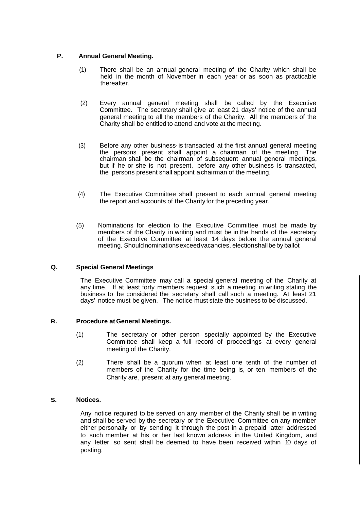#### **P. Annual General Meeting.**

- (1) There shall be an annual general meeting of the Charity which shall be held in the month of November in each year or as soon as practicable thereafter.
- (2) Every annual general meeting shall be called by the Executive Committee. The secretary shall give at least 21 days' notice of the annual general meeting to all the members of the Charity. All the members of the Charity shall be entitled to attend and vote at the meeting.
- (3) Before any other business·is transacted at the first annual general meeting the persons present shall appoint a chairman of the meeting. The chairman shall be the chairman of subsequent annual general meetings, but if he or she is not present, before any other business is transacted, the persons present shall appoint achairman of the meeting.
- (4) The Executive Committee shall present to each annual general meeting the report and accounts of the Charity for the preceding year.
- (5) Nominations for election to the Executive Committee must be made by members of the Charity in writing and must be in the hands of the secretary of the Executive Committee at least 14 days before the annual general meeting. Shouldnominationsexceedvacancies, electionshallbeby ballot

#### **Q. Special General Meetings**

The Executive Committee may call a special general meeting of the Charity at any time. If at least forty members request such a meeting in writing stating the business to be considered the secretary shall call such a meeting. At least 21 days' notice must be given. The notice must state the business to be discussed.

#### **R. Procedure atGeneral Meetings.**

- (1) The secretary or other person specially appointed by the Executive Committee shall keep a full record of proceedings at every general meeting of the Charity.
- (2) There shall be a quorum when at least one tenth of the number of members of the Charity for the time being is, or ten members of the Charity are, present at any general meeting.

#### **S. Notices.**

Any notice required to be served on any member of the Charity shall be in writing and shall be served by the secretary or the Executive Committee on any member either personally or by sending it through the post in a prepaid latter addressed to such member at his or her last known address in the United Kingdom, and any letter so sent shall be deemed to have been received within 10 days of posting.